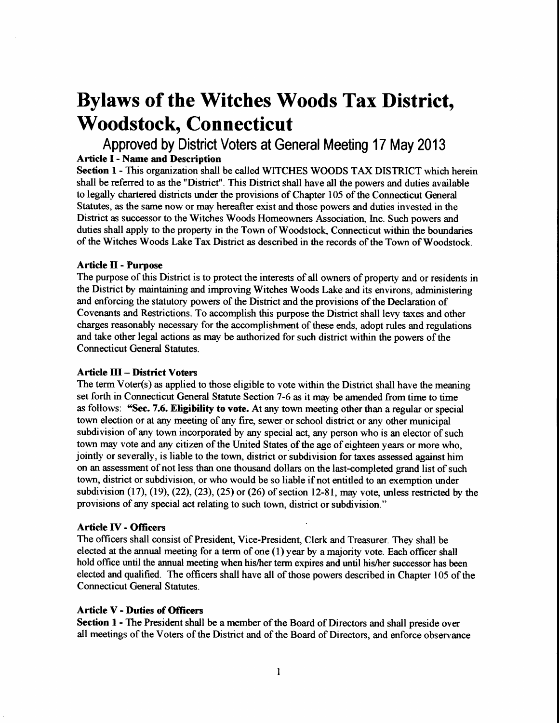# Bylaws of the Witches Woods Tax District, Woodstock, Connecticut

# Approved by District Voters at General Meeting 17 May 2013 Article I - Name and Description

Section I - This organization shall be called WITCHES WOODS TAX DISTRICT which herein shall be referred to as the "District". This District shall have all the powers and duties available to legally chartered districts under the provisions of Chapter 105 of the Connecticut General Statutes, as the sarne now or may hereafter exist and those powers and duties invested in the District as successor to the Witches Woods Homeowners Association, Inc. Such powers and duties shall apply to the property in the Town of Woodstock, Connecticut within the boundaries of the Witches Woods Lake Tax District as described in the records of the Town of Woodstock.

## Article II - Purpose

The purpose of this District is to protect the interests of all owners of property and or residents in the District by maintaining and improving Witches Woods Lake and its environs, administering and enforcing the statutory powers of the District and the provisions of the Declaration of Covenants and Restrictions. To accomplish this purpose the District shall levy taxes and other charges reasonably necessary for the accomplishment of these ends, adopt rules and regulations and take other legal actions as may be authonzed for such district within the powers of the Connecticut General Statutes.

# Article III - District Voters

The term Voter(s) as applied to those eligible to vote within the Distnct shall have the meaning set forth in Connecticut General Statute Section 7-6 as it may be amended from time to time as follows: \*Sec. 7.6. Eligibility to vote. At any town meeting other than a regular or special town election or at any meeting of any fire, sewer or school district or any other municipal subdivision of any town incorporated by any special act, any person who is an elector of such town may vote and any citizen of the United States of the age of eighteen years or more who, jointly or severally, is liable to the town, district or subdivision for taxes assessed against him on an assessment of not less than one thousand dollars on the last-completed grand list of such town, district or subdivision, or who would be so liable if not entitled to an exemption under subdivision (17), (19), (22), (23), (25) or (26) of section 12-81, may vote, unless restricted by the provisions of any special act relating to such town, district or subdivision."

# Article IV - Officers

The officers shall consist of President, Vice-President, Clerk and Treasurer. They shall be elected at the annual meeting for a term of one  $(1)$  year by a majority vote. Each officer shall hold office until the annual meeting when his/her term expires and until his/her successor has been elected and qualified. The officers shall have all of those powers described in Chapter 105 of the Connecticut General Statutes.

#### Article V - Duties of Officers

Section 1 - The President shall be a member of the Board of Directors and shall preside over all meetings of the Voters of the District and of the Board of Directors, and enforce observance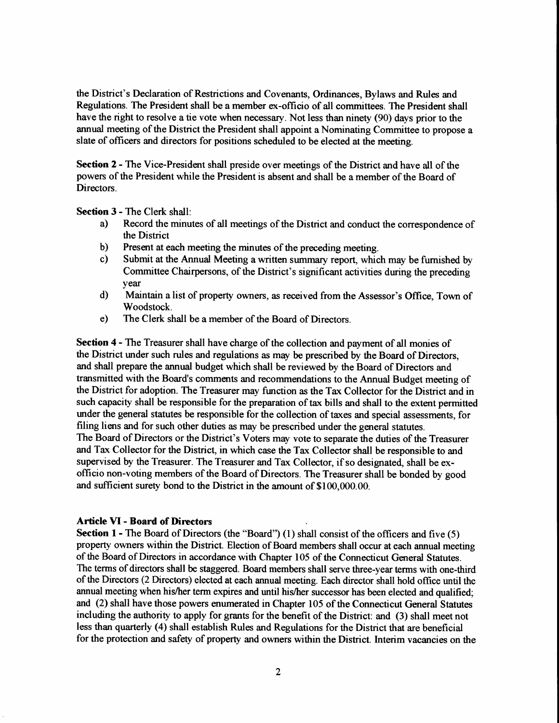the District's Declaration of Restrictions and Covenants, Ordinances, Bylaws and Rules and Regulations. The President shall be a member ex-officio of all committees. The President shall have the right to resolve a tie vote when necessary. Not less than ninety (90) days prior to the annual meeting of the District the President shall appoint a Nominating Committee to propose a slate of officers and directors for positions scheduled to be elected at the meeting.

Section 2 - The Vice-President shall preside over meetings of the District and have all of the powers of the President while the President is absent and shall be a member of the Board of Directors.

Section 3 - The Clerk shall:

- a) Record the minutes of all meetings of the District and conduct the corespondence of the District
- b) Present at each meeting the minutes of the preceding meeting.
- c) Submit at the Annual Meeting a written summary report, which may be fumished by Committee Chairpersons, of the District's significant activities during the preceding year
- d) Maintain a list of property owners, as received from the Assessor's Office, Town of Woodstock.
- e) The Clerk shall be a member of the Board of Directors.

Section 4 - The Treasurer shall have charge of the collection and payment of all monies of the District urder such rules and regulations as may be prescribed by the Board of Directors, and shall prepare the annual budget which shall be reviewed by the Board of Directors and transmitted with the Board's comments and recommendations to the Annual Budget meeting of the District for adoption. The Treasurer may function as the Tax Collector for the District and in such capacity shall be responsible for the preparation of tax bills and shall to the extent permitted under the general statutes be responsible for the collection of taxes and special assessments, for filing liens and for such other duties as may be prescribed under the general statutes. The Board of Directors or the District's Voters may vote to separate the duties of the Treasurer and Tax Collector for the District, in which case the Tax Collector shall be responsible to and supervised by the Treasurer. The Treasurer and Tax Collector, if so designated, shall be exofficio non-voting members of the Board of Directors. The Treasurer shall be bonded by good and sufficient surety bond to the District in the amount of \$100,000.00.

#### Article VI - Board of Directors

Section 1 - The Board of Directors (the "Board") (1) shall consist of the officers and five (5) property owners within the District. Election of Board members shall occur at each annual meeting of the Board of Dhectors in accordmce with Chapter 105 of the Connecticut General Statutes. The terms of directors shall be staggered. Board members shall serve three-year terms with one-third of the Directors (2 Directors) elected at each annual meeting. Each director shall hold offrce until the annual meeting when his/her term expires and until his/her successor has been elected and qualified; and (2) shall have those powers enumerated in Chapter 105 of the Connecticut General Statutes including the authority to apply for grants for the benefit of the District: and (3) shall meet not less than quarterly (4) shall establish Rules and Regulations for the District that are beneficial for the protection and safety of property and owners within the District. Interim vacancies on the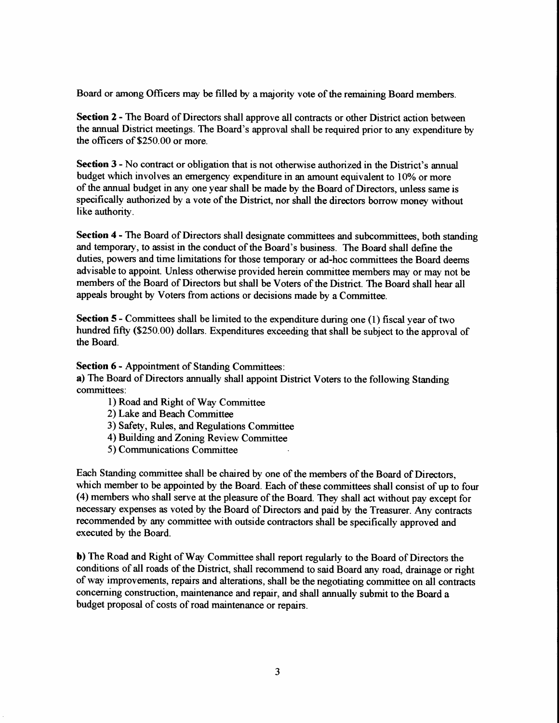Board or among Officers may be filled by a majonty vote of the remaining Board members.

Section 2 - The Board of Directors shall approve all contracts or other District action between the annual District meetings. The Board's approval shall be required prior to any expenditure by the officers of \$250.00 or more.

Section 3 - No contract or obligation that is not otherwise authorized in the District's annual budget which involves an emergency expenditure in an amount equivalent to lO% or more of the annual budget in any one year shall be made by the Board of Directors, unless same is specifically authorized by a vote of the District, nor shall the directors borrow money without like authority.

Section 4 - The Board of Directors shall designate committees and subcommittees, both standing and temporary, to assist in the conduct of the Board's business. The Board shall define the duties, powers and time limitations for those temporary or ad-hoc committees the Board deems advisable to appoint. Unless otherwise provided herein committee members may or may not be members of the Board of Directors but shall be Voters of the District. The Board shall hear all appeals brought by Voters from actions or decisions made by a Committee.

**Section 5** - Committees shall be limited to the expenditure during one  $(1)$  fiscal year of two hundred fifty (\$250.00) dollars. Expenditures exceeding that shall be subject to the approval of the Board.

Section 6 - Appointment of Standing Committees:

a) The Board of Directors annually shall appoint District Voters to the following Standing committees:

- l) Road and Right of Way Committee
- 2)Lake and Beach Committee
- 3) Safety, Rules, and Regulations Committee
- 4) Building and Zoning Review Committee
- 5 ) Communications Committee

Each Standing committee shall be chaired by one of the members of the Board of Directors, which member to be appointed by the Board. Each of these committees shall consist of up to four (4) members who shall serve at the pleasure of the Board. They shall act without pay except for necessary expenses as voted by the Board of Directors and paid by the Treasurer. Any contracts recommended by any committee with outside contractors shall be specifically approved and executed by the Board.

b) The Road and Right of Way Committee shall report regularly to the Board of Directors the conditions of all roads of the District, shall recommend to said Board any road, drainage or right of way improvements, repairs and alterations, shall be the negotiating committee on all contracts concerning construction, maintenance and repair, and shall annually submit to the Board a budget proposal of costs of road maintenance or repairs.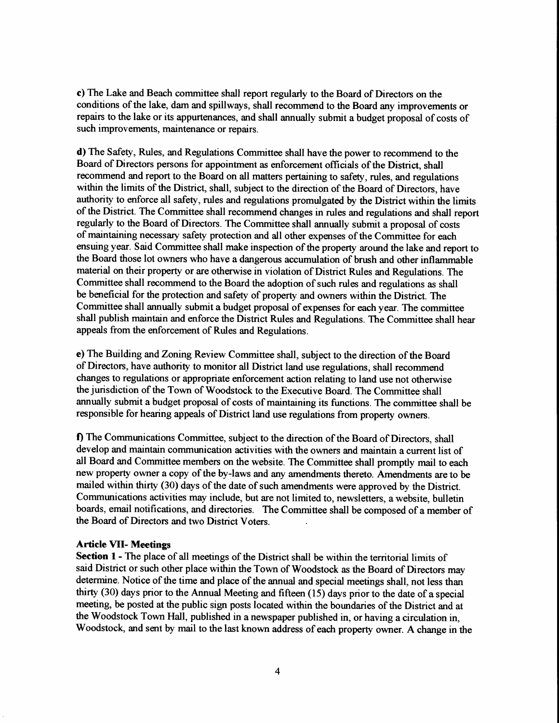c) The Lake and Beach committee shall report regularly to the Board of Directors on the conditions of the lake, dam and spillways, shall recommend to the Board any improvements or repairs to the lake or its appurtenances, and shall annually submit a budget proposal of costs of such improvements, maintenance or repairs.

d) The Safety, Rules, and Regulations Committee shall have the power to recommend to the Board of Directors persons for appointment as enforcement officials of the District, shatl recommend and report to the Board on all matters pertaining to safety, rules, and regulations within the limits of the District, shall, subject to the direction of the Board of Directors, have authority to enforce all safety, rules and regulations promulgated by the District within the limits of the District. The Committee shall recommend changes in rules and regulations and shall report regularly to the Board of Directors. The Committee shall annually submit a proposal of costs of maintaining necessary safety protection and all other expenses of the Committee for each ensuing year. Said Committee shall make inspection of the property around the lake and report to the Board those lot owners who have a dangerous accumulation of brush and other inflamrnable material on their property or are otherwise in violation of District Rules and Regulations. The Committee shall recommend to the Board the adoption of such rules and regulations as shall be beneficial for the protection and safety of property and owners within the District. The Committee shall annually submit a budget proposal of expenses for each year. The committee shall publish maintain and enforce the District Rules and Regulations. The Committee shall hear appeals from the enforcement of Rules and Regulations.

e) The Building and Zoning Review Committee shall, subject to the direction of the Board of Directors, have authority to monitor all District land use regulations, shall recommend changes to regulations or appropriate enforcement action relating to land use not otherwise the jurisdiction of the Town of Woodstock to the Executive Board. The Committee shall annually submit a budget proposal of costs of maintaining its functions. The committee shall be responsible for hearing appeals of District lard use regulations from property owners.

f) The Communications Committee, subject to the direction of the Board of Directors, shall develop and maintain communication activities with the owners and maintain a current list of all Board and Committee members on the website. The Committee shall promptly mail to each new property owner a copy of the by-laws and any amendments thereto. Amendments are to be mailed within thirty (30) days of the date of such amendments were approved by the District. Communications activities may include, but are not limited to, newsletters, a website, bulletin boards, email notifications, and directories. The Committee shall be composed of a member of the Board of Directors and two District Voters

#### **Article VII- Meetings**

Section 1 - The place of all meetings of the District shall be within the territorial limits of said District or such other place within the Town of Woodstock as the Board of Directors may determine. Notice of the time and place of the annual and special meetings shall, not less than thirty (30) days prior to the Annual Meeting and fifteen (15) days prior to the date of a special meeting, be posted at the public sign posts located within the boundaries of the District and at the Woodstock Town Hall, published in a newspaper published in, or having a circulation in, Woodstock, and sent by mail to the last known address of each property owner. A change in the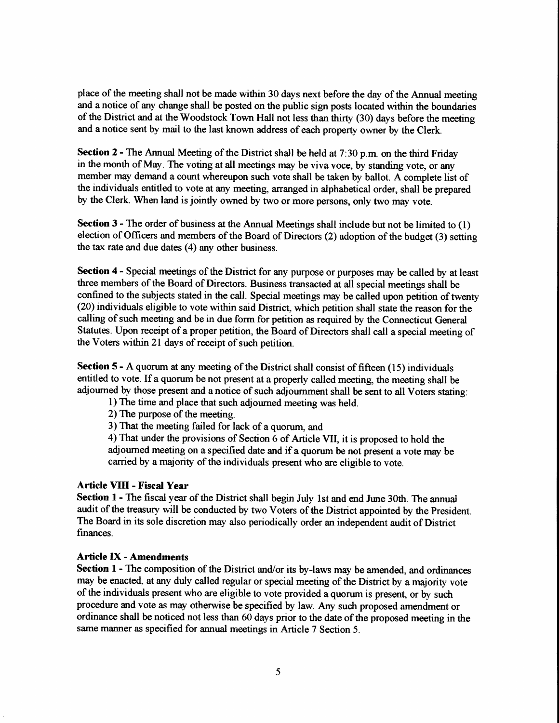place of the meeting shall not be made within 30 days next before the day of the Annual meeting and a notice of any change shall be posted on the public sign posts located within the boundaries of the District and at the Woodstock Town Hall not less than thirty (30) days before the meeting and anotice sent by mail to the last known address of each property owner by the Clerk.

Section 2 - The Annual Meeting of the District shall be held at 7:30 p.m. on the third Friday in the month of May. The voting at all meetings may be viva voce, by standing vote, or any member may demand a count whereupon such vote shall be taken by ballot. A complete list of the individuals entitled to vote at any meeting, aranged in alphabetical order, shall be prepared by the Clerk. When land is jointly owned by two or more persons, only two may vote.

Section 3 - The order of business at the Annual Meetings shall include but not be limited to (1) election of Officers and members of the Board of Directon (2) adoption of the budget (3) setting the tax rate and due dates (4) any other business.

Section 4 - Special meetings of the District for any purpose or purposes may be called by at least three members of the Board of Directors. Business transacted at all special meetings shall be confined to the subjects stated in the call. Special meetings may be called upon petition of twenty (20) individuals eligible to vote within said District, which petition shall state the reason for the calling of such meeting and be in due form for petition as required by the Connecticut General Statutes. Upon receipt of a proper petition, the Board of Directors shall call a special meeting of the Voters within 2l days of receipt of such petition.

Section 5 - A quorum at any meeting of the District shall consist of fifteen (15) individuals entitled to vote. If a quorum be not present at a properly called meeting, the meeting shall be adjoumed by those present and a notice of such adjournment shatl be sent to all Voters stating:

- l) The time and place that such adjourned meeting was held.
- 2) The purpose of the meeting.
- 3) That the meeting failed for lack of a quorum, and

4) That urder the provisions of Section 6 of Article VII, it is proposed to hold the adjourned meeting on a specified date and if a quorum be not present a vote may be carried by a majority of the individuals present who are eligible to vote.

#### Article VIII - Fiscal Year

Section 1 - The fiscal year of the District shall begin July 1st and end June 30th. The annual audit of the treasury will be conducted by two Voters of the District appointed by the President. The Board in its sole discretion may also periodically order an independent audit of District finances.

#### Article IX - Amendments

Section 1 - The composition of the District and/or its by-laws may be amended, and ordinances may be enacted, at any duly called regular or special meeting of the District by a majority vote of the individuals present who are eligible to vote provided a quorum is present, or by such procedure and vote as may otherwise be specified by law. Any such proposed amendment or ordinance shall be noticed not less than 60 days prior to the date of the proposed meeting in the same manner as specified for annual meetings in Article 7 Section 5.